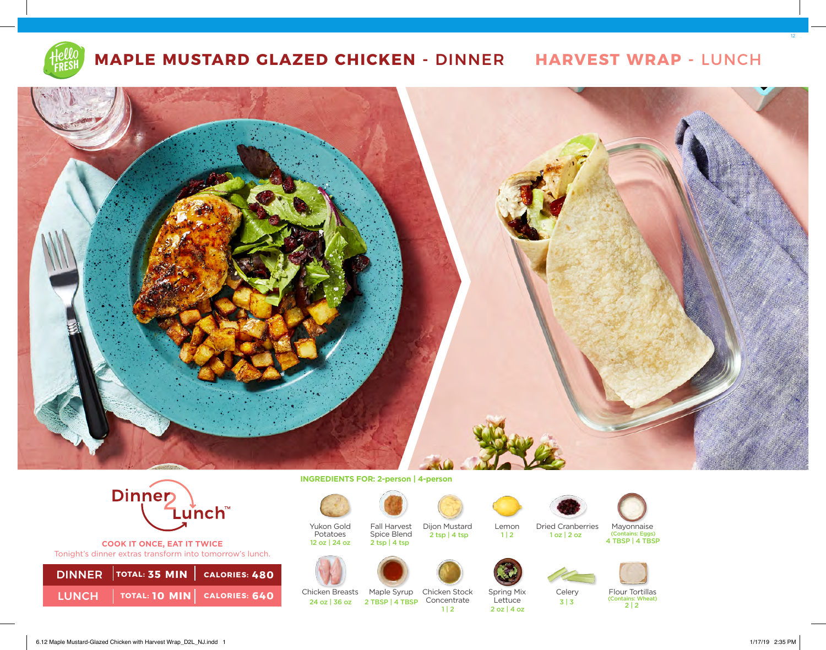

# **MAPLE MUSTARD GLAZED CHICKEN -** DINNER **HARVEST WRAP -** LUNCH





**COOK IT ONCE, EAT IT TWICE**  Tonight's dinner extras transform into tomorrow's lunch.

| DINNER TOTAL: 35 MIN   CALORIES: 480  |  |
|---------------------------------------|--|
| LUNCH   TOTAL: 10 MIN   CALORIES: 640 |  |

**INGREDIENTS FOR: 2-person | 4-person** 



Yukon Gold Potatoes<br>12 oz | 24 oz



Fall Harvest Spice Blend  $2$  tsp  $|4$  tsp







24 oz | 36 oz | 2 TBSP | 4 TBSP | Concentrate





Chicken Breasts Chicken Stock Maple Syrup

Spring Mix Lettuce

Lemon

 $1 | 2$ 



Dried Cranberries





3 | 3



(Contains: Wheat)  $2|2$ <br>2 oz | 4 oz

12